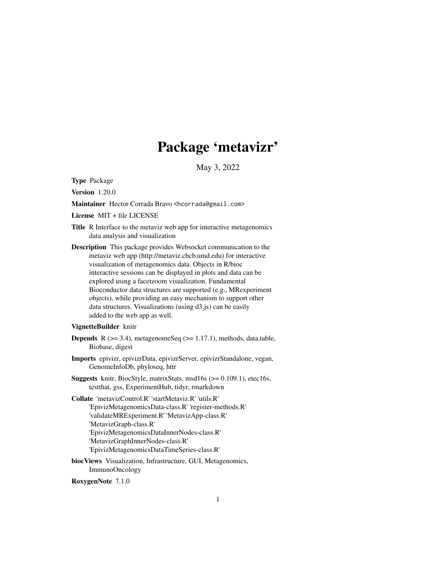# Package 'metavizr'

May 3, 2022

<span id="page-0-0"></span>Type Package

Version 1.20.0

Maintainer Hector Corrada Bravo <hcorrada@gmail.com>

License MIT + file LICENSE

- Title R Interface to the metaviz web app for interactive metagenomics data analysis and visualization
- Description This package provides Websocket communication to the metaviz web app (http://metaviz.cbcb.umd.edu) for interactive visualization of metagenomics data. Objects in R/bioc interactive sessions can be displayed in plots and data can be explored using a facetzoom visualization. Fundamental Bioconductor data structures are supported (e.g., MRexperiment objects), while providing an easy mechanism to support other data structures. Visualizations (using d3.js) can be easily added to the web app as well.

#### VignetteBuilder knitr

- **Depends** R  $(>= 3.4)$ , metagenomeSeq  $(>= 1.17.1)$ , methods, data.table, Biobase, digest
- Imports epivizr, epivizrData, epivizrServer, epivizrStandalone, vegan, GenomeInfoDb, phyloseq, httr
- Suggests knitr, BiocStyle, matrixStats, msd16s (>= 0.109.1), etec16s, testthat, gss, ExperimentHub, tidyr, rmarkdown
- Collate 'metavizControl.R' 'startMetaviz.R' 'utils.R' 'EpivizMetagenomicsData-class.R' 'register-methods.R' 'validateMRExperiment.R' 'MetavizApp-class.R' 'MetavizGraph-class.R' 'EpivizMetagenomicsDataInnerNodes-class.R' 'MetavizGraphInnerNodes-class.R' 'EpivizMetagenomicsDataTimeSeries-class.R'
- biocViews Visualization, Infrastructure, GUI, Metagenomics, ImmunoOncology

RoxygenNote 7.1.0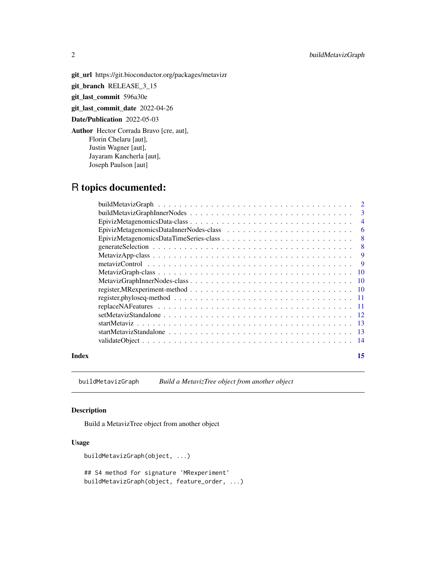<span id="page-1-0"></span>git\_url https://git.bioconductor.org/packages/metavizr

git\_branch RELEASE\_3\_15

git\_last\_commit 596a30e

git\_last\_commit\_date 2022-04-26

Date/Publication 2022-05-03

Author Hector Corrada Bravo [cre, aut], Florin Chelaru [aut], Justin Wagner [aut], Jayaram Kancherla [aut], Joseph Paulson [aut]

# R topics documented:

|       | register, phyloseq-method $\ldots \ldots \ldots \ldots \ldots \ldots \ldots \ldots \ldots \ldots \ldots \ldots \ldots 11$ |    |
|-------|---------------------------------------------------------------------------------------------------------------------------|----|
|       |                                                                                                                           |    |
|       |                                                                                                                           |    |
|       |                                                                                                                           |    |
|       |                                                                                                                           |    |
|       |                                                                                                                           |    |
| Index |                                                                                                                           | 15 |

buildMetavizGraph *Build a MetavizTree object from another object*

# Description

Build a MetavizTree object from another object

# Usage

```
buildMetavizGraph(object, ...)
## S4 method for signature 'MRexperiment'
buildMetavizGraph(object, feature_order, ...)
```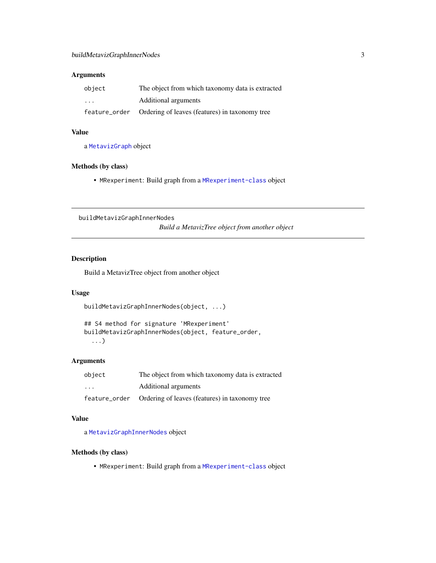# <span id="page-2-0"></span>Arguments

| object  | The object from which taxonomy data is extracted             |  |  |  |
|---------|--------------------------------------------------------------|--|--|--|
| $\cdot$ | Additional arguments                                         |  |  |  |
|         | feature_order Ordering of leaves (features) in taxonomy tree |  |  |  |

# Value

a [MetavizGraph](#page-9-1) object

# Methods (by class)

• MRexperiment: Build graph from a [MRexperiment-class](#page-0-0) object

buildMetavizGraphInnerNodes

*Build a MetavizTree object from another object*

### Description

Build a MetavizTree object from another object

# Usage

buildMetavizGraphInnerNodes(object, ...)

```
## S4 method for signature 'MRexperiment'
buildMetavizGraphInnerNodes(object, feature_order,
  ...)
```
# Arguments

| object  | The object from which taxonomy data is extracted             |  |  |  |
|---------|--------------------------------------------------------------|--|--|--|
| $\cdot$ | Additional arguments                                         |  |  |  |
|         | feature_order Ordering of leaves (features) in taxonomy tree |  |  |  |

# Value

a [MetavizGraphInnerNodes](#page-9-2) object

#### Methods (by class)

• MRexperiment: Build graph from a [MRexperiment-class](#page-0-0) object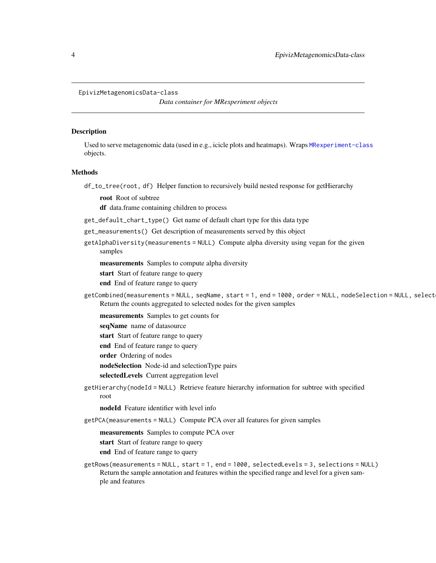*Data container for MRexperiment objects*

#### <span id="page-3-1"></span><span id="page-3-0"></span>**Description**

Used to serve metagenomic data (used in e.g., icicle plots and heatmaps). Wraps [MRexperiment-class](#page-0-0) objects.

#### Methods

df\_to\_tree(root, df) Helper function to recursively build nested response for getHierarchy

root Root of subtree

df data.frame containing children to process

- get\_default\_chart\_type() Get name of default chart type for this data type
- get\_measurements() Get description of measurements served by this object
- getAlphaDiversity(measurements = NULL) Compute alpha diversity using vegan for the given samples

measurements Samples to compute alpha diversity

start Start of feature range to query

end End of feature range to query

getCombined(measurements = NULL, seqName, start = 1, end = 1000, order = NULL, nodeSelection = NULL, select Return the counts aggregated to selected nodes for the given samples

measurements Samples to get counts for

seqName name of datasource

start Start of feature range to query

end End of feature range to query

order Ordering of nodes

nodeSelection Node-id and selectionType pairs

selectedLevels Current aggregation level

getHierarchy(nodeId = NULL) Retrieve feature hierarchy information for subtree with specified root

nodeId Feature identifier with level info

getPCA(measurements = NULL) Compute PCA over all features for given samples

measurements Samples to compute PCA over

start Start of feature range to query

end End of feature range to query

getRows(measurements = NULL, start = 1, end = 1000, selectedLevels = 3, selections = NULL) Return the sample annotation and features within the specified range and level for a given sample and features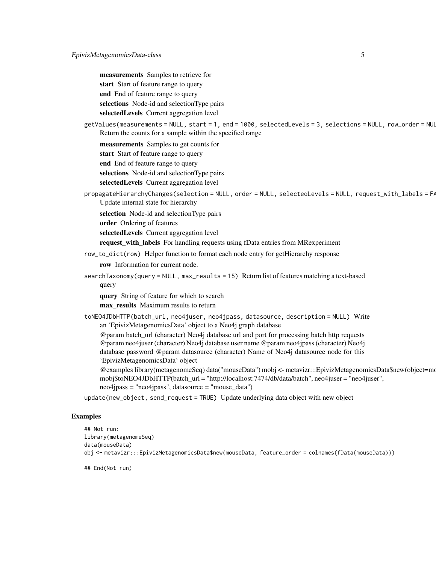measurements Samples to retrieve for start Start of feature range to query end End of feature range to query selections Node-id and selectionType pairs selectedLevels Current aggregation level

```
getValues(measurements = NULL, start = 1, end = 1000, selectedLevels = 3, selections = NULL, row_order = NULL)
     Return the counts for a sample within the specified range
```
measurements Samples to get counts for

start Start of feature range to query

end End of feature range to query

selections Node-id and selectionType pairs

selectedLevels Current aggregation level

propagateHierarchyChanges(selection = NULL, order = NULL, selectedLevels = NULL, request\_with\_labels = F/ Update internal state for hierarchy

selection Node-id and selectionType pairs

order Ordering of features

selectedLevels Current aggregation level

request\_with\_labels For handling requests using fData entries from MRexperiment

row\_to\_dict(row) Helper function to format each node entry for getHierarchy response

row Information for current node.

searchTaxonomy(query = NULL, max\_results = 15) Return list of features matching a text-based query

query String of feature for which to search

max\_results Maximum results to return

toNEO4JDbHTTP(batch\_url, neo4juser, neo4jpass, datasource, description = NULL) Write an 'EpivizMetagenomicsData' object to a Neo4j graph database

@param batch\_url (character) Neo4j database url and port for processing batch http requests @param neo4juser (character) Neo4j database user name @param neo4jpass (character) Neo4j database password @param datasource (character) Name of Neo4j datasource node for this 'EpivizMetagenomicsData' object

@examples library(metagenomeSeq) data("mouseData") mobj <- metavizr:::EpivizMetagenomicsData\$new(object=mouseData) mobj\$toNEO4JDbHTTP(batch\_url = "http://localhost:7474/db/data/batch", neo4juser = "neo4juser", neo4jpass = "neo4jpass", datasource = "mouse\_data")

update(new\_object, send\_request = TRUE) Update underlying data object with new object

#### Examples

```
## Not run:
library(metagenomeSeq)
data(mouseData)
obj <- metavizr:::EpivizMetagenomicsData$new(mouseData, feature_order = colnames(fData(mouseData)))
```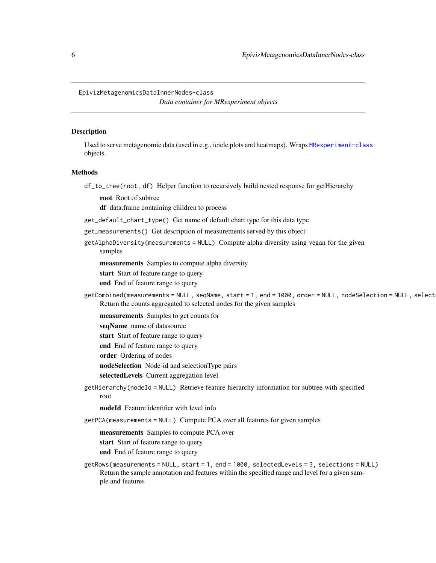<span id="page-5-0"></span>EpivizMetagenomicsDataInnerNodes-class *Data container for MRexperiment objects*

#### **Description**

Used to serve metagenomic data (used in e.g., icicle plots and heatmaps). Wraps [MRexperiment-class](#page-0-0) objects.

#### Methods

df\_to\_tree(root, df) Helper function to recursively build nested response for getHierarchy

root Root of subtree

df data.frame containing children to process

- get\_default\_chart\_type() Get name of default chart type for this data type
- get\_measurements() Get description of measurements served by this object
- getAlphaDiversity(measurements = NULL) Compute alpha diversity using vegan for the given samples

measurements Samples to compute alpha diversity

start Start of feature range to query

end End of feature range to query

getCombined(measurements = NULL, seqName, start = 1, end = 1000, order = NULL, nodeSelection = NULL, select Return the counts aggregated to selected nodes for the given samples

measurements Samples to get counts for

seqName name of datasource

start Start of feature range to query

end End of feature range to query

order Ordering of nodes

nodeSelection Node-id and selectionType pairs

selectedLevels Current aggregation level

getHierarchy(nodeId = NULL) Retrieve feature hierarchy information for subtree with specified root

nodeId Feature identifier with level info

getPCA(measurements = NULL) Compute PCA over all features for given samples

measurements Samples to compute PCA over

start Start of feature range to query

end End of feature range to query

getRows(measurements = NULL, start = 1, end = 1000, selectedLevels = 3, selections = NULL) Return the sample annotation and features within the specified range and level for a given sample and features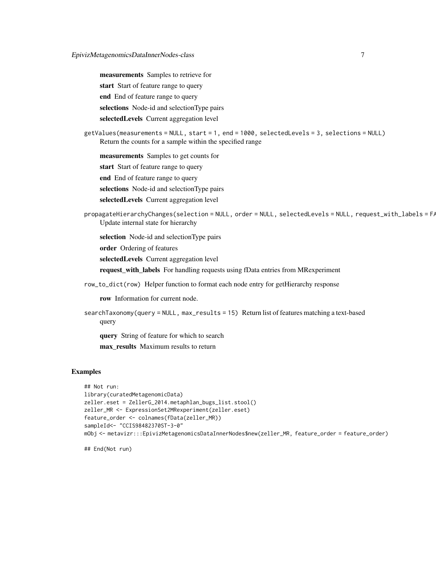measurements Samples to retrieve for start Start of feature range to query end End of feature range to query selections Node-id and selectionType pairs selectedLevels Current aggregation level

```
getValues(measurements = NULL, start = 1, end = 1000, selectedLevels = 3, selections = NULL)
    Return the counts for a sample within the specified range
```
measurements Samples to get counts for

start Start of feature range to query

end End of feature range to query

selections Node-id and selectionType pairs

selectedLevels Current aggregation level

```
propagateHierarchyChanges(selection = NULL, order = NULL, selectedLevels = NULL, request_with_labels = F/
    Update internal state for hierarchy
```
selection Node-id and selectionType pairs

order Ordering of features

selectedLevels Current aggregation level

request\_with\_labels For handling requests using fData entries from MRexperiment

row\_to\_dict(row) Helper function to format each node entry for getHierarchy response

row Information for current node.

```
searchTaxonomy(query = NULL, max_results = 15) Return list of features matching a text-based
    query
```
query String of feature for which to search

max\_results Maximum results to return

### Examples

```
## Not run:
library(curatedMetagenomicData)
zeller.eset = ZellerG_2014.metaphlan_bugs_list.stool()
zeller_MR <- ExpressionSet2MRexperiment(zeller.eset)
feature_order <- colnames(fData(zeller_MR))
sampleId<- "CCIS98482370ST-3-0"
mObj <- metavizr:::EpivizMetagenomicsDataInnerNodes$new(zeller_MR, feature_order = feature_order)
```
## End(Not run)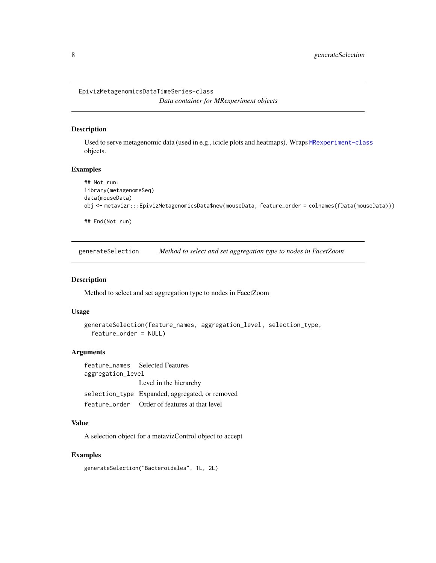```
EpivizMetagenomicsDataTimeSeries-class
                        Data container for MRexperiment objects
```
# Description

Used to serve metagenomic data (used in e.g., icicle plots and heatmaps). Wraps [MRexperiment-class](#page-0-0) objects.

### Examples

```
## Not run:
library(metagenomeSeq)
data(mouseData)
obj <- metavizr:::EpivizMetagenomicsData$new(mouseData, feature_order = colnames(fData(mouseData)))
## End(Not run)
```
generateSelection *Method to select and set aggregation type to nodes in FacetZoom*

#### Description

Method to select and set aggregation type to nodes in FacetZoom

#### Usage

```
generateSelection(feature_names, aggregation_level, selection_type,
 feature_order = NULL)
```
# Arguments

feature\_names Selected Features aggregation\_level Level in the hierarchy selection\_type Expanded, aggregated, or removed feature\_order Order of features at that level

# Value

A selection object for a metavizControl object to accept

# Examples

generateSelection("Bacteroidales", 1L, 2L)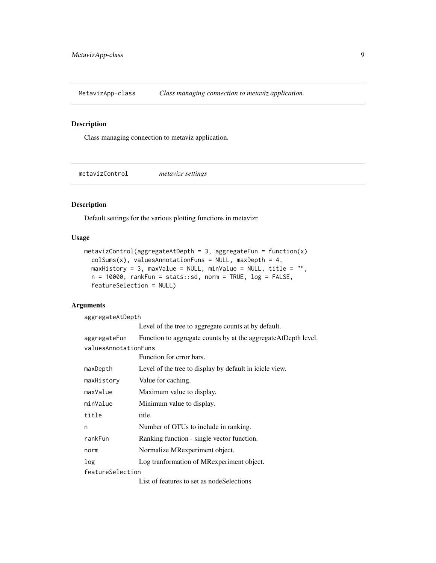<span id="page-8-0"></span>MetavizApp-class *Class managing connection to metaviz application.*

#### <span id="page-8-1"></span>Description

Class managing connection to metaviz application.

metavizControl *metavizr settings*

#### Description

Default settings for the various plotting functions in metavizr.

#### Usage

```
metavizControl(aggregateAtDepth = 3, aggregateFrom = function(x)colSums(x), valuesAnnotationFuns = NULL, maxDepth = 4,
 maxHistory = 3, maxValue = NULL, minValue = NULL, title = "",
 n = 10000, rankFun = stats::sd, norm = TRUE, log = FALSE,
  featureSelection = NULL)
```
# Arguments

aggregateAtDepth Level of the tree to aggregate counts at by default. aggregateFun Function to aggregate counts by at the aggregateAtDepth level. valuesAnnotationFuns Function for error bars. maxDepth Level of the tree to display by default in icicle view. maxHistory Value for caching. maxValue Maximum value to display. minValue Minimum value to display. title title. n Number of OTUs to include in ranking. rankFun Ranking function - single vector function. norm Normalize MRexperiment object. log Log tranformation of MRexperiment object. featureSelection List of features to set as nodeSelections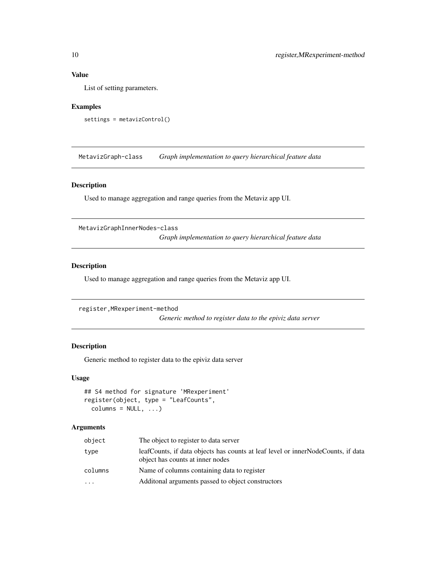# <span id="page-9-0"></span>Value

List of setting parameters.

#### Examples

```
settings = metavizControl()
```
MetavizGraph-class *Graph implementation to query hierarchical feature data*

# <span id="page-9-1"></span>Description

Used to manage aggregation and range queries from the Metaviz app UI.

MetavizGraphInnerNodes-class

*Graph implementation to query hierarchical feature data*

# <span id="page-9-2"></span>Description

Used to manage aggregation and range queries from the Metaviz app UI.

```
register,MRexperiment-method
```
*Generic method to register data to the epiviz data server*

# Description

Generic method to register data to the epiviz data server

#### Usage

```
## S4 method for signature 'MRexperiment'
register(object, type = "LeafCounts",
 columns = NULL, ...)
```
# Arguments

| object   | The object to register to data server                                                                                |
|----------|----------------------------------------------------------------------------------------------------------------------|
| type     | leafCounts, if data objects has counts at leaf level or innerNodeCounts, if data<br>object has counts at inner nodes |
| columns  | Name of columns containing data to register                                                                          |
| $\cdots$ | Additional arguments passed to object constructors                                                                   |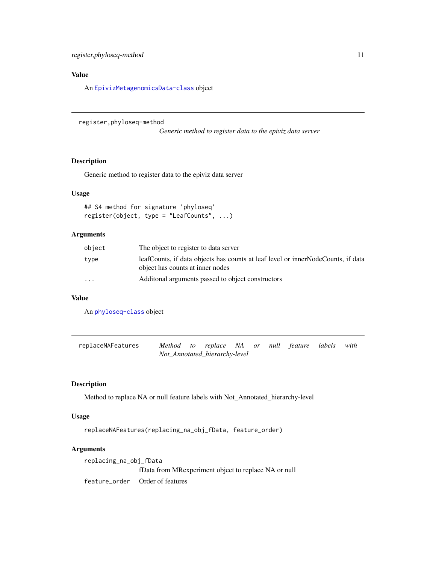# <span id="page-10-0"></span>Value

An [EpivizMetagenomicsData-class](#page-3-1) object

register,phyloseq-method

*Generic method to register data to the epiviz data server*

### Description

Generic method to register data to the epiviz data server

# Usage

```
## S4 method for signature 'phyloseq'
register(object, type = "LeafCounts", ...)
```
# Arguments

| object                  | The object to register to data server                                                                                |
|-------------------------|----------------------------------------------------------------------------------------------------------------------|
| type                    | leafCounts, if data objects has counts at leaf level or innerNodeCounts, if data<br>object has counts at inner nodes |
| $\cdot$ $\cdot$ $\cdot$ | Additional arguments passed to object constructors                                                                   |

# Value

An [phyloseq-class](#page-0-0) object

| replaceNAFeatures | Method to replace NA or null feature labels with |                               |  |  |  |
|-------------------|--------------------------------------------------|-------------------------------|--|--|--|
|                   |                                                  | Not_Annotated_hierarchy-level |  |  |  |

# Description

Method to replace NA or null feature labels with Not\_Annotated\_hierarchy-level

#### Usage

```
replaceNAFeatures(replacing_na_obj_fData, feature_order)
```
# Arguments

| replacing_na_obj_fData |                                                      |  |  |
|------------------------|------------------------------------------------------|--|--|
|                        | fData from MRexperiment object to replace NA or null |  |  |
|                        | feature order Order of features                      |  |  |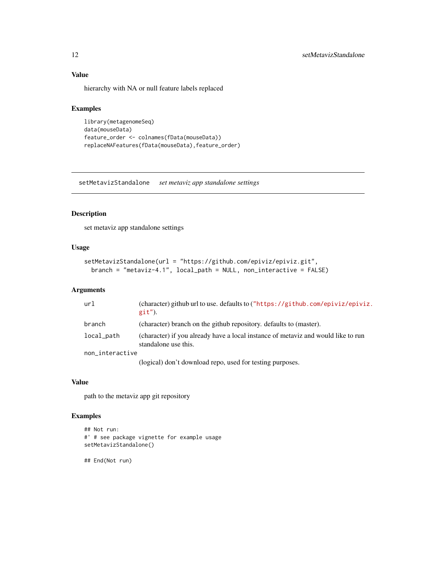# Value

hierarchy with NA or null feature labels replaced

#### Examples

```
library(metagenomeSeq)
data(mouseData)
feature_order <- colnames(fData(mouseData))
replaceNAFeatures(fData(mouseData),feature_order)
```
setMetavizStandalone *set metaviz app standalone settings*

# Description

set metaviz app standalone settings

# Usage

```
setMetavizStandalone(url = "https://github.com/epiviz/epiviz.git",
 branch = "metaviz-4.1", local_path = NULL, non_interactive = FALSE)
```
# Arguments

| url             | (character) github url to use. defaults to $("https://github.com/epiviz/epiviz.$<br>$git'$ ).             |
|-----------------|-----------------------------------------------------------------------------------------------------------|
| branch          | (character) branch on the github repository. defaults to (master).                                        |
| local_path      | (character) if you already have a local instance of metaviz and would like to run<br>standalone use this. |
| non_interactive |                                                                                                           |
|                 | (logical) don't download repo, used for testing purposes.                                                 |

#### Value

path to the metaviz app git repository

# Examples

```
## Not run:
#' # see package vignette for example usage
setMetavizStandalone()
```
## End(Not run)

<span id="page-11-0"></span>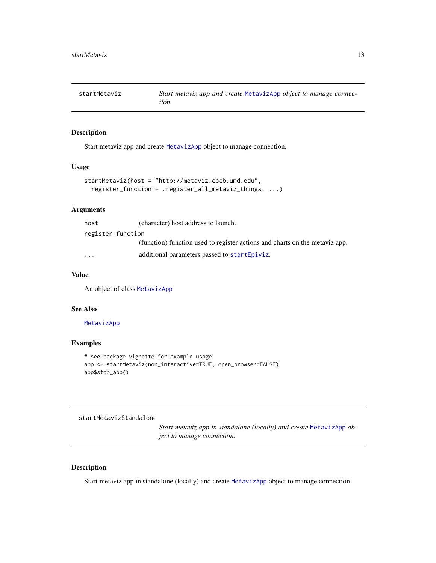<span id="page-12-0"></span>

# Description

Start metaviz app and create [MetavizApp](#page-8-1) object to manage connection.

#### Usage

```
startMetaviz(host = "http://metaviz.cbcb.umd.edu",
  register_function = .register_all_metaviz_things, ...)
```
# Arguments

| host              | (character) host address to launch.                                         |
|-------------------|-----------------------------------------------------------------------------|
| register_function |                                                                             |
|                   | (function) function used to register actions and charts on the metaviz app. |
| $\cdots$          | additional parameters passed to startEpiviz.                                |
|                   |                                                                             |

# Value

An object of class [MetavizApp](#page-8-1)

#### See Also

#### [MetavizApp](#page-8-1)

#### Examples

```
# see package vignette for example usage
app <- startMetaviz(non_interactive=TRUE, open_browser=FALSE)
app$stop_app()
```
startMetavizStandalone

*Start metaviz app in standalone (locally) and create* [MetavizApp](#page-8-1) *object to manage connection.*

#### Description

Start metaviz app in standalone (locally) and create [MetavizApp](#page-8-1) object to manage connection.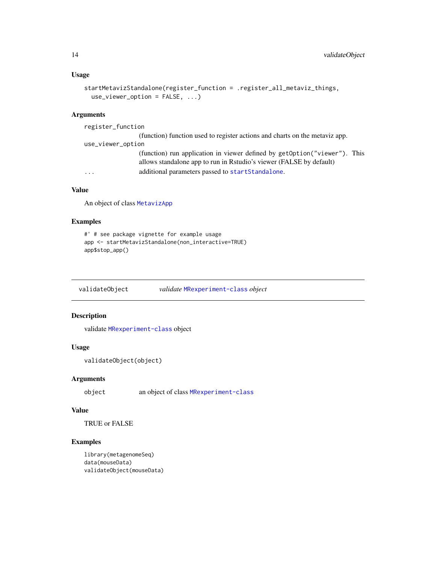# <span id="page-13-0"></span>Usage

```
startMetavizStandalone(register_function = .register_all_metaviz_things,
 use_viewer_option = FALSE, ...)
```
# Arguments

| register_function |                                                                                                                                                  |
|-------------------|--------------------------------------------------------------------------------------------------------------------------------------------------|
|                   | (function) function used to register actions and charts on the metaviz app.                                                                      |
| use_viewer_option |                                                                                                                                                  |
|                   | (function) run application in viewer defined by getOption("viewer"). This<br>allows standalone app to run in Rstudio's viewer (FALSE by default) |
| $\ddotsc$         | additional parameters passed to startStandalone.                                                                                                 |

# Value

An object of class [MetavizApp](#page-8-1)

#### Examples

```
#' # see package vignette for example usage
app <- startMetavizStandalone(non_interactive=TRUE)
app$stop_app()
```
validateObject *validate* [MRexperiment-class](#page-0-0) *object*

#### Description

validate [MRexperiment-class](#page-0-0) object

# Usage

```
validateObject(object)
```
# Arguments

object an object of class [MRexperiment-class](#page-0-0)

# Value

TRUE or FALSE

# Examples

```
library(metagenomeSeq)
data(mouseData)
validateObject(mouseData)
```